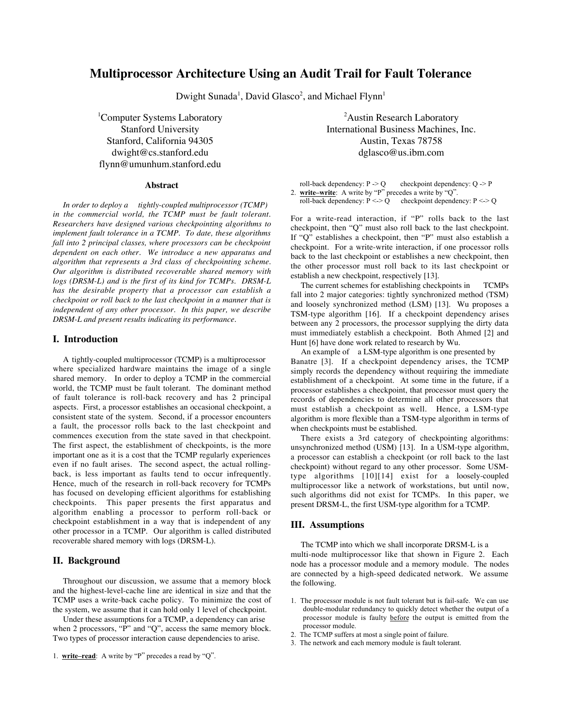## **Multiprocessor Architecture Using an Audit Trail for Fault Tolerance**

Dwight Sunada<sup>1</sup>, David Glasco<sup>2</sup>, and Michael Flynn<sup>1</sup>

<sup>1</sup>Computer Systems Laboratory Stanford University Stanford, California 94305 dwight@cs.stanford.edu flynn@umunhum.stanford.edu

#### **Abstract**

 *In order to deploy a tightly-coupled multiprocessor (TCMP) in the commercial world, the TCMP must be fault tolerant. Researchers have designed various checkpointing algorithms to implement fault tolerance in a TCMP. To date, these algorithms fall into 2 principal classes, where processors can be checkpoint dependent on each other. We introduce a new apparatus and algorithm that represents a 3rd class of checkpointing scheme. Our algorithm is distributed recoverable shared memory with logs (DRSM-L) and is the first of its kind for TCMPs. DRSM-L has the desirable property that a processor can establish a checkpoint or roll back to the last checkpoint in a manner that is independent of any other processor. In this paper, we describe DRSM-L and present results indicating its performance.*

## **I. Introduction**

 A tightly-coupled multiprocessor (TCMP) is a multiprocessor where specialized hardware maintains the image of a single shared memory. In order to deploy a TCMP in the commercial world, the TCMP must be fault tolerant. The dominant method of fault tolerance is roll-back recovery and has 2 principal aspects. First, a processor establishes an occasional checkpoint, a consistent state of the system. Second, if a processor encounters a fault, the processor rolls back to the last checkpoint and commences execution from the state saved in that checkpoint. The first aspect, the establishment of checkpoints, is the more important one as it is a cost that the TCMP regularly experiences even if no fault arises. The second aspect, the actual rollingback, is less important as faults tend to occur infrequently. Hence, much of the research in roll-back recovery for TCMPs has focused on developing efficient algorithms for establishing checkpoints. This paper presents the first apparatus and algorithm enabling a processor to perform roll-back or checkpoint establishment in a way that is independent of any other processor in a TCMP. Our algorithm is called distributed recoverable shared memory with logs (DRSM-L).

## **II. Background**

Throughout our discussion, we assume that a memory block and the highest-level-cache line are identical in size and that the TCMP uses a write-back cache policy. To minimize the cost of the system, we assume that it can hold only 1 level of checkpoint.

 Under these assumptions for a TCMP, a dependency can arise when 2 processors, "P" and "Q", access the same memory block. Two types of processor interaction cause dependencies to arise.

<sup>2</sup> Austin Research Laboratory International Business Machines, Inc. Austin, Texas 78758 dglasco@us.ibm.com

roll-back dependency:  $P \ge Q$  checkpoint dependency:  $Q \ge P$ 2. **write–write**: A write by "P" precedes a write by "Q". roll-back dependency:  $P \leq Q$  checkpoint dependency:  $P \leq Q$ 

For a write-read interaction, if "P" rolls back to the last checkpoint, then "Q" must also roll back to the last checkpoint. If "Q" establishes a checkpoint, then "P" must also establish a checkpoint. For a write-write interaction, if one processor rolls back to the last checkpoint or establishes a new checkpoint, then the other processor must roll back to its last checkpoint or establish a new checkpoint, respectively [13].

 The current schemes for establishing checkpoints in TCMPs fall into 2 major categories: tightly synchronized method (TSM) and loosely synchronized method (LSM) [13]. Wu proposes a TSM-type algorithm [16]. If a checkpoint dependency arises between any 2 processors, the processor supplying the dirty data must immediately establish a checkpoint. Both Ahmed [2] and Hunt [6] have done work related to research by Wu.

 An example of a LSM-type algorithm is one presented by Banatre [3]. If a checkpoint dependency arises, the TCMP simply records the dependency without requiring the immediate establishment of a checkpoint. At some time in the future, if a processor establishes a checkpoint, that processor must query the records of dependencies to determine all other processors that must establish a checkpoint as well. Hence, a LSM-type algorithm is more flexible than a TSM-type algorithm in terms of when checkpoints must be established.

 There exists a 3rd category of checkpointing algorithms: unsynchronized method (USM) [13]. In a USM-type algorithm, a processor can establish a checkpoint (or roll back to the last checkpoint) without regard to any other processor. Some USMtype algorithms [10][14] exist for a loosely-coupled multiprocessor like a network of workstations, but until now, such algorithms did not exist for TCMPs. In this paper, we present DRSM-L, the first USM-type algorithm for a TCMP.

### **III. Assumptions**

 The TCMP into which we shall incorporate DRSM-L is a multi-node multiprocessor like that shown in Figure 2. Each node has a processor module and a memory module. The nodes are connected by a high-speed dedicated network. We assume the following.

- 1. The processor module is not fault tolerant but is fail-safe. We can use double-modular redundancy to quickly detect whether the output of a processor module is faulty before the output is emitted from the processor module.
- 2. The TCMP suffers at most a single point of failure.
- 3. The network and each memory module is fault tolerant.

<sup>1.</sup> **write–read**: A write by "P" precedes a read by "Q".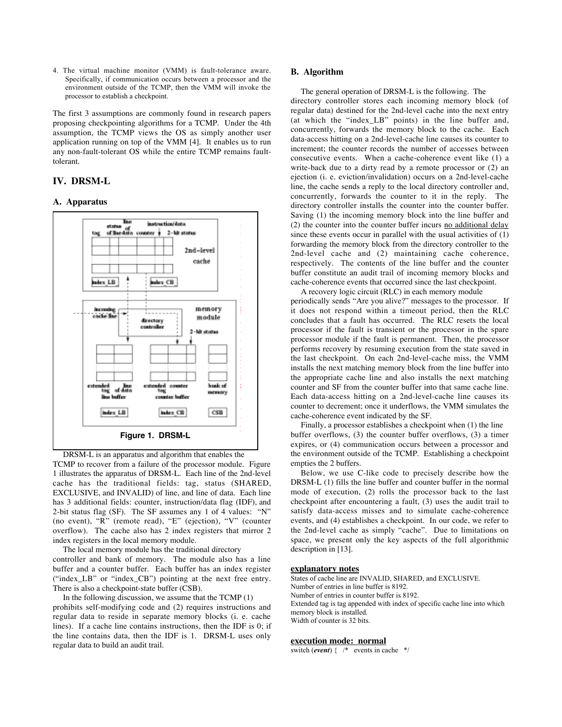4. The virtual machine monitor (VMM) is fault-tolerance aware. Specifically, if communication occurs between a processor and the environment outside of the TCMP, then the VMM will invoke the processor to establish a checkpoint.

The first 3 assumptions are commonly found in research papers proposing checkpointing algorithms for a TCMP. Under the 4th assumption, the TCMP views the OS as simply another user application running on top of the VMM [4]. It enables us to run any non-fault-tolerant OS while the entire TCMP remains faulttolerant.

# **IV. DRSM-L**

## **A. Apparatus**



DRSM-L is an apparatus and algorithm that enables the

TCMP to recover from a failure of the processor module. Figure 1 illustrates the apparatus of DRSM-L. Each line of the 2nd-level cache has the traditional fields: tag, status (SHARED, EXCLUSIVE, and INVALID) of line, and line of data. Each line has 3 additional fields: counter, instruction/data flag (IDF), and 2-bit status flag (SF). The SF assumes any 1 of 4 values: "N" (no event), "R" (remote read), "E" (ejection), "V" (counter overflow). The cache also has 2 index registers that mirror 2 index registers in the local memory module.

 The local memory module has the traditional directory controller and bank of memory. The module also has a line buffer and a counter buffer. Each buffer has an index register ("index\_LB" or "index\_CB") pointing at the next free entry. There is also a checkpoint-state buffer (CSB).

In the following discussion, we assume that the  $TCMP(1)$ prohibits self-modifying code and (2) requires instructions and regular data to reside in separate memory blocks (i. e. cache lines). If a cache line contains instructions, then the IDF is 0; if the line contains data, then the IDF is 1. DRSM-L uses only regular data to build an audit trail.

## **B. Algorithm**

 The general operation of DRSM-L is the following. The directory controller stores each incoming memory block (of regular data) destined for the 2nd-level cache into the next entry (at which the "index\_LB" points) in the line buffer and, concurrently, forwards the memory block to the cache. Each data-access hitting on a 2nd-level-cache line causes its counter to increment; the counter records the number of accesses between consecutive events. When a cache-coherence event like (1) a write-back due to a dirty read by a remote processor or (2) an ejection (i. e. eviction/invalidation) occurs on a 2nd-level-cache line, the cache sends a reply to the local directory controller and, concurrently, forwards the counter to it in the reply. The directory controller installs the counter into the counter buffer. Saving (1) the incoming memory block into the line buffer and (2) the counter into the counter buffer incurs no additional delay since these events occur in parallel with the usual activities of (1) forwarding the memory block from the directory controller to the 2nd-level cache and (2) maintaining cache coherence, respectively. The contents of the line buffer and the counter buffer constitute an audit trail of incoming memory blocks and cache-coherence events that occurred since the last checkpoint.

 A recovery logic circuit (RLC) in each memory module periodically sends "Are you alive?" messages to the processor. If it does not respond within a timeout period, then the RLC concludes that a fault has occurred. The RLC resets the local processor if the fault is transient or the processor in the spare processor module if the fault is permanent. Then, the processor performs recovery by resuming execution from the state saved in the last checkpoint. On each 2nd-level-cache miss, the VMM installs the next matching memory block from the line buffer into the appropriate cache line and also installs the next matching counter and SF from the counter buffer into that same cache line. Each data-access hitting on a 2nd-level-cache line causes its counter to decrement; once it underflows, the VMM simulates the cache-coherence event indicated by the SF.

 Finally, a processor establishes a checkpoint when (1) the line buffer overflows, (3) the counter buffer overflows, (3) a timer expires, or (4) communication occurs between a processor and the environment outside of the TCMP. Establishing a checkpoint empties the 2 buffers.

 Below, we use C-like code to precisely describe how the DRSM-L (1) fills the line buffer and counter buffer in the normal mode of execution, (2) rolls the processor back to the last checkpoint after encountering a fault, (3) uses the audit trail to satisfy data-access misses and to simulate cache-coherence events, and (4) establishes a checkpoint. In our code, we refer to the 2nd-level cache as simply "cache". Due to limitations on space, we present only the key aspects of the full algorithmic description in [13].

## **explanatory notes**

States of cache line are INVALID, SHARED, and EXCLUSIVE. Number of entries in line buffer is 8192. Number of entries in counter buffer is 8192. Extended tag is tag appended with index of specific cache line into which memory block is installed. Width of counter is 32 bits.

#### **execution mode: normal**

switch (*event*) { /\* events in cache \*/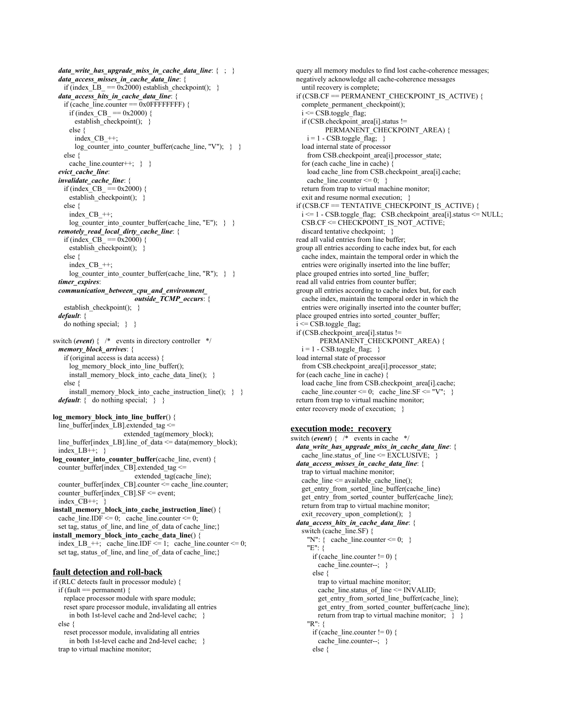```
 data_write_has_upgrade_miss_in_cache_data_line: { ; }
  data_access_misses_in_cache_data_line: {
   if (index LB = 0x2000) establish checkpoint(); }
  data_access_hits_in_cache_data_line: {
   if (cache line.counter = 0x0FFFFFFFFFFF) {
     if (index CB = 0x2000) {
      establish_checkpoint(); }
      else {
       index CB ++;
      log_counter_into_counter_buffer(cache_line, "V"); } }
    else {
     cache_line.counter++; } }
  evict_cache_line:
  invalidate_cache_line: {
   if (index CB = 0x2000) {
     establish_checkpoint(); }
    else {
      index_CB_++;
     log_counter_into_counter_buffer(cache_line, "E"); } }
  remotely_read_local_dirty_cache_line: {
   if (index CB = 0x2000) {
     establish_checkpoint(); }
    else {
     index CB ++:
     log_counter_into_counter_buffer(cache_line, "R"); } }
  timer_expires:
  communication_between_cpu_and_environment_
                           outside_TCMP_occurs: {
   establish_checkpoint();
  default: {
    do nothing special; } }
switch (event) { /* events in directory controller */
  memory_block_arrives: {
    if (original access is data access) {
     log_memory_block_into_line_buffer();
      install_memory_block_into_cache_data_line(); }
    else {
     install memory block into cache instruction line(); \} }
 default: { do nothing special; } }
log_memory_block_into_line_buffer() {
 line_buffer[index_LB].extended_tag <=
                       extended tag(memory block);
  line_buffer[index_LB].line_of_data <= data(memory_block);
 index<sub>LB++;</sub> \}log_counter_into_counter_buffer(cache_line, event) {
  counter_buffer[index_CB].extended_tag <=
                           extended_tag(cache_line);
 counter_buffer[index_CB].counter <= cache_line.counter;
  counter_buffer[index_CB].SF <= event;
 index CB++; }
install_memory_block_into_cache_instruction_line() {
 cache line.IDF \leq 0; cache line.counter \leq 0;
```
set tag, status of line, and line of data of cache line;} **install\_memory\_block\_into\_cache\_data\_line**() { index\_LB\_++; cache\_line.IDF <= 1; cache\_line.counter <= 0; set tag, status of line, and line of data of cache line;}

## **fault detection and roll-back**

if (RLC detects fault in processor module) { if (fault  $==$  permanent) { replace processor module with spare module; reset spare processor module, invalidating all entries in both 1st-level cache and 2nd-level cache; } else {

 reset processor module, invalidating all entries in both 1st-level cache and 2nd-level cache; } trap to virtual machine monitor;

 query all memory modules to find lost cache-coherence messages; negatively acknowledge all cache-coherence messages until recovery is complete; if (CSB.CF == PERMANENT\_CHECKPOINT\_IS\_ACTIVE) { complete\_permanent\_checkpoint(); i <= CSB.toggle\_flag; if (CSB.checkpoint\_area[i].status != PERMANENT\_CHECKPOINT\_AREA) {  $i = 1 - CSB$ .toggle flag; } load internal state of processor from CSB.checkpoint\_area[i].processor\_state; for (each cache line in cache) { load cache\_line from CSB.checkpoint\_area[i].cache; cache\_line.counter  $\leq 0;$ } return from trap to virtual machine monitor; exit and resume normal execution; }  $if (CSB.CF = TENTATIVE$  CHECKPOINT IS ACTIVE) { i <= 1 - CSB.toggle\_flag; CSB.checkpoint\_area[i].status <= NULL; CSB.CF <= CHECKPOINT\_IS\_NOT\_ACTIVE; discard tentative checkpoint; } read all valid entries from line buffer; group all entries according to cache index but, for each cache index, maintain the temporal order in which the entries were originally inserted into the line buffer; place grouped entries into sorted\_line\_buffer; read all valid entries from counter buffer; group all entries according to cache index but, for each cache index, maintain the temporal order in which the entries were originally inserted into the counter buffer; place grouped entries into sorted counter buffer; i <= CSB.toggle\_flag; if (CSB.checkpoint area[i].status != PERMANENT\_CHECKPOINT\_AREA) {  $i = 1 - CSB.toggle_flag;$  load internal state of processor from CSB.checkpoint\_area[i].processor\_state; for (each cache\_line in cache) { load cache\_line from CSB.checkpoint\_area[i].cache; cache line.counter  $\leq 0$ ; cache line.SF  $\leq$  "V"; } return from trap to virtual machine monitor; enter recovery mode of execution; }

## **execution mode: recovery**

switch (*event*) { /\* events in cache \*/ *data\_write\_has\_upgrade\_miss\_in\_cache\_data\_line*: { cache\_line.status\_of\_line <= EXCLUSIVE; } *data\_access\_misses\_in\_cache\_data\_line*: { trap to virtual machine monitor; cache  $line \le$  available cache line(); get\_entry\_from\_sorted\_line\_buffer(cache\_line) get entry from sorted counter buffer(cache line); return from trap to virtual machine monitor; exit\_recovery\_upon\_completion(); } *data\_access\_hits\_in\_cache\_data\_line*: { switch (cache\_line.SF) { "N": { cache\_line.counter  $\leq 0$ ; } "E": { if (cache\_line.counter  $!= 0$ ) { cache  $\overline{l}$ ine.counter--; } else { trap to virtual machine monitor; cache\_line.status\_of\_line <= INVALID; get entry from sorted line buffer(cache line); get\_entry\_from\_sorted\_counter\_buffer(cache\_line); return from trap to virtual machine monitor; } } "R": { if (cache\_line.counter  $!= 0$ ) { cache line.counter--; } else {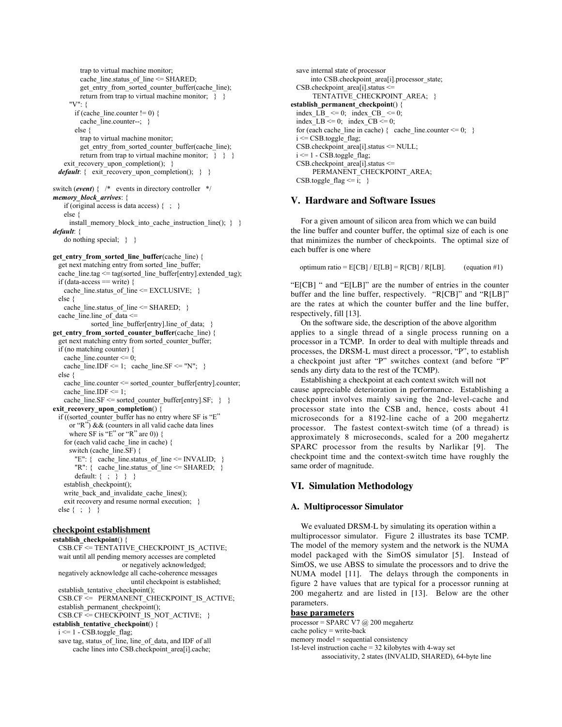trap to virtual machine monitor; cache line.status of line  $\leq$  SHARED; get entry from sorted counter buffer(cache line); return from trap to virtual machine monitor; } } "V": { if (cache line.counter  $!= 0$ ) { cache\_line.counter--; } else { trap to virtual machine monitor; get\_entry\_from\_sorted\_counter\_buffer(cache\_line); return from trap to virtual machine monitor;  $\}$  } exit recovery upon completion();  $\}$ *default*: { exit\_recovery\_upon\_completion(); } } switch (*event*) { /\* events in directory controller \*/ *memory\_block\_arrives*: { if (original access is data access)  $\{\ ;\ \}$  else { install\_memory\_block\_into\_cache\_instruction\_line(); } } *default*: { do nothing special; } } get entry from sorted line buffer(cache line) { get next matching entry from sorted\_line\_buffer; cache\_line.tag <= tag(sorted\_line\_buffer[entry].extended\_tag); if (data-access  $==$  write) { cache line.status of line  $\leq$  EXCLUSIVE; } else { cache\_line.status\_of\_line <= SHARED; } cache line.line of data  $\leq$ sorted\_line\_buffer[entry].line\_of\_data; } **get\_entry\_from\_sorted\_counter\_buffer**(cache\_line) { get next matching entry from sorted\_counter\_buffer; if (no matching counter) { cache  $line.c$ .counter  $<= 0$ ;  $cache$ [line.IDF <= 1; cache\_line.SF <= "N"; } else { cache\_line.counter <= sorted\_counter\_buffer[entry].counter; cache $\overline{\text{line}}$ line.IDF <= 1: cache line.SF  $\le$  sorted counter buffer[entry].SF; } } **exit\_recovery\_upon\_completion**() { if ((sorted counter buffer has no entry where SF is "E" or "R") && (counters in all valid cache data lines where SF is "E" or "R" are  $0$ )) { for (each valid cache\_line in cache) { switch (cache\_line.SF) { "E": { cache\_line.status\_of\_line <= INVALID; } "R": { cache line.status of line  $\leq$  SHARED; } default: { ; } } } establish checkpoint(); write\_back\_and\_invalidate\_cache\_lines(); exit recovery and resume normal execution; } else { ; } }

## **checkpoint establishment**

```
establish_checkpoint() {
 CSB.CF <= TENTATIVE_CHECKPOINT_IS_ACTIVE;
  wait until all pending memory accesses are completed
                      or negatively acknowledged;
  negatively acknowledge all cache-coherence messages
                         until checkpoint is established;
  establish_tentative_checkpoint();
 CSB.CF <= PERMANENT_CHECKPOINT_IS_ACTIVE;
  establish_permanent_checkpoint();
 CSB.CF \leq CHECKPONT IS NOT ACTIVE; }
establish_tentative_checkpoint() {
 i \leq 1 - CSB.toggle_flag;
  save tag, status_of_line, line_of_data, and IDF of all
       cache lines into CSB.checkpoint_area[i].cache;
```

```
 save internal state of processor
       into CSB.checkpoint_area[i].processor_state;
 CSB.checkpoint_area[i].status <=
       TENTATIVE_CHECKPOINT_AREA; }
establish permanent checkpoint() {
 index\_LB <= 0; index_CCB <= 0;
 index LB \le 0; index CB \le 0;
 for (each cache line in cache) { cache line.counter \leq 0; }
 i \leq CSB.toggle flag;
  CSB.checkpoint_area[i].status <= NULL;
 i \leq 1 - CSB toggle flag;
  CSB.checkpoint_area[i].status <=
      PERMANENT_CHECKPOINT_AREA;
 CSB.toggle_flag \leq i;
```
### **V. Hardware and Software Issues**

 For a given amount of silicon area from which we can build the line buffer and counter buffer, the optimal size of each is one that minimizes the number of checkpoints. The optimal size of each buffer is one where

optimum ratio =  $E[CB]/E[LB] = R[CB]/R[LB]$ . (equation #1)

"E[CB] " and "E[LB]" are the number of entries in the counter buffer and the line buffer, respectively. "R[CB]" and "R[LB]" are the rates at which the counter buffer and the line buffer, respectively, fill [13].

 On the software side, the description of the above algorithm applies to a single thread of a single process running on a processor in a TCMP. In order to deal with multiple threads and processes, the DRSM-L must direct a processor, "P", to establish a checkpoint just after "P" switches context (and before "P" sends any dirty data to the rest of the TCMP).

 Establishing a checkpoint at each context switch will not cause appreciable deterioration in performance. Establishing a checkpoint involves mainly saving the 2nd-level-cache and processor state into the CSB and, hence, costs about 41 microseconds for a 8192-line cache of a 200 megahertz processor. The fastest context-switch time (of a thread) is approximately 8 microseconds, scaled for a 200 megahertz SPARC processor from the results by Narlikar [9]. The checkpoint time and the context-switch time have roughly the same order of magnitude.

## **VI. Simulation Methodology**

### **A. Multiprocessor Simulator**

 We evaluated DRSM-L by simulating its operation within a multiprocessor simulator. Figure 2 illustrates its base TCMP. The model of the memory system and the network is the NUMA model packaged with the SimOS simulator [5]. Instead of SimOS, we use ABSS to simulate the processors and to drive the NUMA model [11]. The delays through the components in figure 2 have values that are typical for a processor running at 200 megahertz and are listed in [13]. Below are the other parameters.

#### **base parameters**

processor = SPARC V7  $\omega$  200 megahertz cache policy = write-back

- memory model = sequential consistency
- 1st-level instruction cache = 32 kilobytes with 4-way set associativity, 2 states (INVALID, SHARED), 64-byte line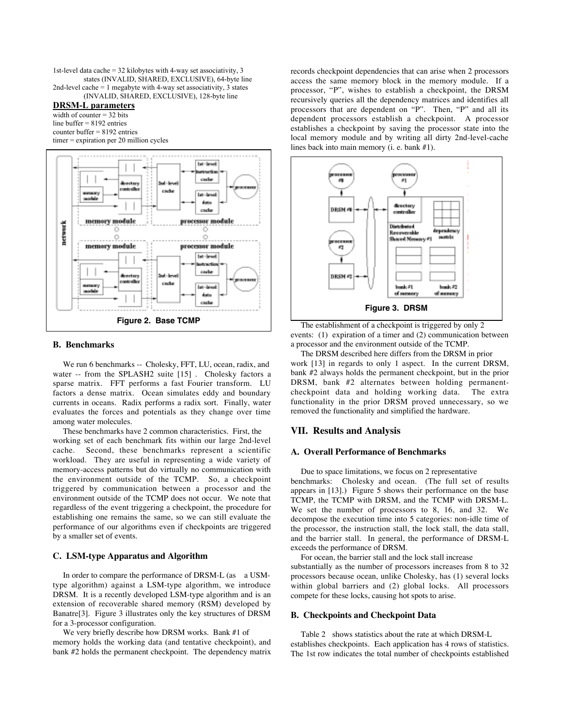1st-level data cache = 32 kilobytes with 4-way set associativity, 3 states (INVALID, SHARED, EXCLUSIVE), 64-byte line 2nd-level cache = 1 megabyte with 4-way set associativity, 3 states (INVALID, SHARED, EXCLUSIVE), 128-byte line

**DRSM-L parameters** width of counter = 32 bits line buffer = 8192 entries counter buffer = 8192 entries timer = expiration per 20 million cycles



## **B. Benchmarks**

We run 6 benchmarks -- Cholesky, FFT, LU, ocean, radix, and water -- from the SPLASH2 suite [15] . Cholesky factors a sparse matrix. FFT performs a fast Fourier transform. LU factors a dense matrix. Ocean simulates eddy and boundary currents in oceans. Radix performs a radix sort. Finally, water evaluates the forces and potentials as they change over time among water molecules.

 These benchmarks have 2 common characteristics. First, the working set of each benchmark fits within our large 2nd-level cache. Second, these benchmarks represent a scientific workload. They are useful in representing a wide variety of memory-access patterns but do virtually no communication with the environment outside of the TCMP. So, a checkpoint triggered by communication between a processor and the environment outside of the TCMP does not occur. We note that regardless of the event triggering a checkpoint, the procedure for establishing one remains the same, so we can still evaluate the performance of our algorithms even if checkpoints are triggered by a smaller set of events.

## **C. LSM-type Apparatus and Algorithm**

 In order to compare the performance of DRSM-L (as a USMtype algorithm) against a LSM-type algorithm, we introduce DRSM. It is a recently developed LSM-type algorithm and is an extension of recoverable shared memory (RSM) developed by Banatre[3]. Figure 3 illustrates only the key structures of DRSM for a 3-processor configuration.

 We very briefly describe how DRSM works. Bank #1 of memory holds the working data (and tentative checkpoint), and bank #2 holds the permanent checkpoint. The dependency matrix records checkpoint dependencies that can arise when 2 processors access the same memory block in the memory module. If a processor, "P", wishes to establish a checkpoint, the DRSM recursively queries all the dependency matrices and identifies all processors that are dependent on "P". Then, "P" and all its dependent processors establish a checkpoint. A processor establishes a checkpoint by saving the processor state into the local memory module and by writing all dirty 2nd-level-cache lines back into main memory (i. e. bank #1).



 The establishment of a checkpoint is triggered by only 2 events: (1) expiration of a timer and (2) communication between a processor and the environment outside of the TCMP.

 The DRSM described here differs from the DRSM in prior work [13] in regards to only 1 aspect. In the current DRSM, bank #2 always holds the permanent checkpoint, but in the prior DRSM, bank #2 alternates between holding permanentcheckpoint data and holding working data. The extra functionality in the prior DRSM proved unnecessary, so we removed the functionality and simplified the hardware.

## **VII. Results and Analysis**

## **A. Overall Performance of Benchmarks**

 Due to space limitations, we focus on 2 representative benchmarks: Cholesky and ocean. (The full set of results appears in [13].) Figure 5 shows their performance on the base TCMP, the TCMP with DRSM, and the TCMP with DRSM-L. We set the number of processors to 8, 16, and 32. We decompose the execution time into 5 categories: non-idle time of the processor, the instruction stall, the lock stall, the data stall, and the barrier stall. In general, the performance of DRSM-L exceeds the performance of DRSM.

 For ocean, the barrier stall and the lock stall increase substantially as the number of processors increases from 8 to 32 processors because ocean, unlike Cholesky, has (1) several locks within global barriers and (2) global locks. All processors compete for these locks, causing hot spots to arise.

## **B. Checkpoints and Checkpoint Data**

 Table 2 shows statistics about the rate at which DRSM-L establishes checkpoints. Each application has 4 rows of statistics. The 1st row indicates the total number of checkpoints established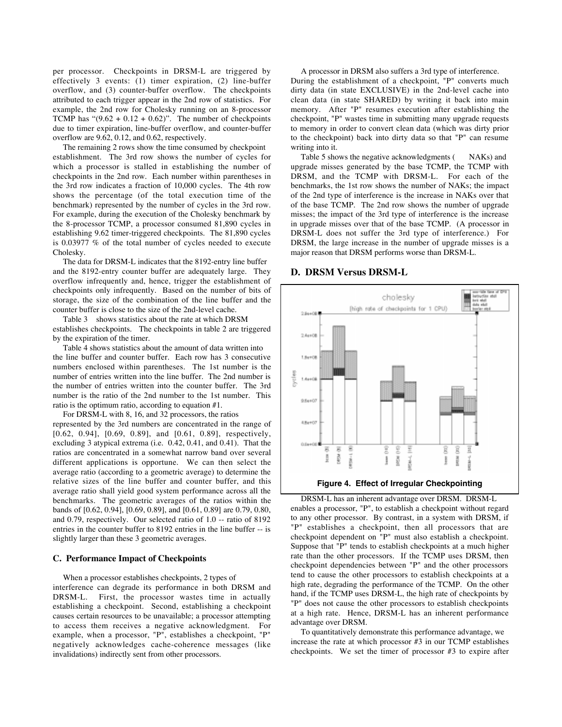per processor. Checkpoints in DRSM-L are triggered by effectively 3 events: (1) timer expiration, (2) line-buffer overflow, and (3) counter-buffer overflow. The checkpoints attributed to each trigger appear in the 2nd row of statistics. For example, the 2nd row for Cholesky running on an 8-processor TCMP has " $(9.62 + 0.12 + 0.62)$ ". The number of checkpoints due to timer expiration, line-buffer overflow, and counter-buffer overflow are 9.62, 0.12, and 0.62, respectively.

 The remaining 2 rows show the time consumed by checkpoint establishment. The 3rd row shows the number of cycles for which a processor is stalled in establishing the number of checkpoints in the 2nd row. Each number within parentheses in the 3rd row indicates a fraction of 10,000 cycles. The 4th row shows the percentage (of the total execution time of the benchmark) represented by the number of cycles in the 3rd row. For example, during the execution of the Cholesky benchmark by the 8-processor TCMP, a processor consumed 81,890 cycles in establishing 9.62 timer-triggered checkpoints. The 81,890 cycles is 0.03977 % of the total number of cycles needed to execute Cholesky.

 The data for DRSM-L indicates that the 8192-entry line buffer and the 8192-entry counter buffer are adequately large. They overflow infrequently and, hence, trigger the establishment of checkpoints only infrequently. Based on the number of bits of storage, the size of the combination of the line buffer and the counter buffer is close to the size of the 2nd-level cache.

 Table 3 shows statistics about the rate at which DRSM establishes checkpoints. The checkpoints in table 2 are triggered by the expiration of the timer.

 Table 4 shows statistics about the amount of data written into the line buffer and counter buffer. Each row has 3 consecutive numbers enclosed within parentheses. The 1st number is the number of entries written into the line buffer. The 2nd number is the number of entries written into the counter buffer. The 3rd number is the ratio of the 2nd number to the 1st number. This ratio is the optimum ratio, according to equation #1.

 For DRSM-L with 8, 16, and 32 processors, the ratios represented by the 3rd numbers are concentrated in the range of [0.62, 0.94], [0.69, 0.89], and [0.61, 0.89], respectively, excluding 3 atypical extrema (i.e. 0.42, 0.41, and 0.41). That the ratios are concentrated in a somewhat narrow band over several different applications is opportune. We can then select the average ratio (according to a geometric average) to determine the relative sizes of the line buffer and counter buffer, and this average ratio shall yield good system performance across all the benchmarks. The geometric averages of the ratios within the bands of [0.62, 0.94], [0.69, 0.89], and [0.61, 0.89] are 0.79, 0.80, and 0.79, respectively. Our selected ratio of 1.0 -- ratio of 8192 entries in the counter buffer to 8192 entries in the line buffer -- is slightly larger than these 3 geometric averages.

#### **C. Performance Impact of Checkpoints**

 When a processor establishes checkpoints, 2 types of interference can degrade its performance in both DRSM and DRSM-L. First, the processor wastes time in actually establishing a checkpoint. Second, establishing a checkpoint causes certain resources to be unavailable; a processor attempting to access them receives a negative acknowledgment. For example, when a processor, "P", establishes a checkpoint, "P" negatively acknowledges cache-coherence messages (like invalidations) indirectly sent from other processors.

 A processor in DRSM also suffers a 3rd type of interference. During the establishment of a checkpoint, "P" converts much dirty data (in state EXCLUSIVE) in the 2nd-level cache into clean data (in state SHARED) by writing it back into main memory. After "P" resumes execution after establishing the checkpoint, "P" wastes time in submitting many upgrade requests to memory in order to convert clean data (which was dirty prior to the checkpoint) back into dirty data so that "P" can resume writing into it.

Table 5 shows the negative acknowledgments ( NAKs) and upgrade misses generated by the base TCMP, the TCMP with DRSM, and the TCMP with DRSM-L. For each of the benchmarks, the 1st row shows the number of NAKs; the impact of the 2nd type of interference is the increase in NAKs over that of the base TCMP. The 2nd row shows the number of upgrade misses; the impact of the 3rd type of interference is the increase in upgrade misses over that of the base TCMP. (A processor in DRSM-L does not suffer the 3rd type of interference.) For DRSM, the large increase in the number of upgrade misses is a major reason that DRSM performs worse than DRSM-L.

## **D. DRSM Versus DRSM-L**



 DRSM-L has an inherent advantage over DRSM. DRSM-L enables a processor, "P", to establish a checkpoint without regard to any other processor. By contrast, in a system with DRSM, if "P" establishes a checkpoint, then all processors that are checkpoint dependent on "P" must also establish a checkpoint. Suppose that "P" tends to establish checkpoints at a much higher rate than the other processors. If the TCMP uses DRSM, then checkpoint dependencies between "P" and the other processors tend to cause the other processors to establish checkpoints at a high rate, degrading the performance of the TCMP. On the other hand, if the TCMP uses DRSM-L, the high rate of checkpoints by "P" does not cause the other processors to establish checkpoints at a high rate. Hence, DRSM-L has an inherent performance advantage over DRSM.

 To quantitatively demonstrate this performance advantage, we increase the rate at which processor #3 in our TCMP establishes checkpoints. We set the timer of processor #3 to expire after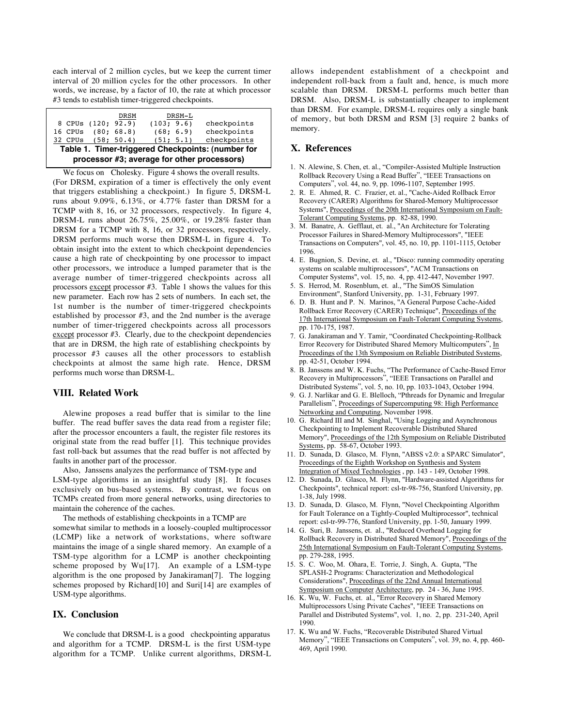each interval of 2 million cycles, but we keep the current timer interval of 20 million cycles for the other processors. In other words, we increase, by a factor of 10, the rate at which processor #3 tends to establish timer-triggered checkpoints.

|                                             |                    | DRSM       |            | DRSM-L    |                                                   |  |  |  |
|---------------------------------------------|--------------------|------------|------------|-----------|---------------------------------------------------|--|--|--|
|                                             | 8 CPUs (120; 92.9) |            | (103; 9.6) |           | checkpoints                                       |  |  |  |
| 16 CPUs                                     |                    | (80:68.8)  |            | (68; 6.9) | checkpoints                                       |  |  |  |
| 32 CPUs                                     |                    | (58: 50.4) |            | (51; 5.1) | checkpoints                                       |  |  |  |
|                                             |                    |            |            |           | Table 1. Timer-triggered Checkpoints: (number for |  |  |  |
| processor #3: average for other processors) |                    |            |            |           |                                                   |  |  |  |

We focus on Cholesky. Figure 4 shows the overall results. (For DRSM, expiration of a timer is effectively the only event that triggers establishing a checkpoint.) In figure 5, DRSM-L runs about 9.09%, 6.13%, or 4.77% faster than DRSM for a TCMP with 8, 16, or 32 processors, respectively. In figure 4, DRSM-L runs about 26.75%, 25.00%, or 19.28% faster than DRSM for a TCMP with 8, 16, or 32 processors, respectively. DRSM performs much worse then DRSM-L in figure 4. To obtain insight into the extent to which checkpoint dependencies cause a high rate of checkpointing by one processor to impact other processors, we introduce a lumped parameter that is the average number of timer-triggered checkpoints across all processors except processor #3. Table 1 shows the values for this new parameter. Each row has 2 sets of numbers. In each set, the 1st number is the number of timer-triggered checkpoints established by processor #3, and the 2nd number is the average number of timer-triggered checkpoints across all processors except processor #3. Clearly, due to the checkpoint dependencies that are in DRSM, the high rate of establishing checkpoints by processor #3 causes all the other processors to establish checkpoints at almost the same high rate. Hence, DRSM performs much worse than DRSM-L.

## **VIII. Related Work**

 Alewine proposes a read buffer that is similar to the line buffer. The read buffer saves the data read from a register file; after the processor encounters a fault, the register file restores its original state from the read buffer [1]. This technique provides fast roll-back but assumes that the read buffer is not affected by faults in another part of the processor.

 Also, Janssens analyzes the performance of TSM-type and LSM-type algorithms in an insightful study [8]. It focuses exclusively on bus-based systems. By contrast, we focus on TCMPs created from more general networks, using directories to maintain the coherence of the caches.

 The methods of establishing checkpoints in a TCMP are somewhat similar to methods in a loosely-coupled multiprocessor (LCMP) like a network of workstations, where software maintains the image of a single shared memory. An example of a TSM-type algorithm for a LCMP is another checkpointing scheme proposed by Wu[17]. An example of a LSM-type algorithm is the one proposed by Janakiraman[7]. The logging schemes proposed by Richard[10] and Suri[14] are examples of USM-type algorithms.

## **IX. Conclusion**

We conclude that DRSM-L is a good checkpointing apparatus and algorithm for a TCMP. DRSM-L is the first USM-type algorithm for a TCMP. Unlike current algorithms, DRSM-L allows independent establishment of a checkpoint and independent roll-back from a fault and, hence, is much more scalable than DRSM. DRSM-L performs much better than DRSM. Also, DRSM-L is substantially cheaper to implement than DRSM. For example, DRSM-L requires only a single bank of memory, but both DRSM and RSM [3] require 2 banks of memory.

## **X. References**

- 1. N. Alewine, S. Chen, et. al., "Compiler-Assisted Multiple Instruction Rollback Recovery Using a Read Buffer", "IEEE Transactions on Computers", vol. 44, no. 9, pp. 1096-1107, September 1995.
- 2. R. E. Ahmed, R. C. Frazier, et. al., "Cache-Aided Rollback Error Recovery (CARER) Algorithms for Shared-Memory Multiprocessor Systems", Proceedings of the 20th International Symposium on Fault-Tolerant Computing Systems, pp. 82-88, 1990.
- 3. M. Banatre, A. Gefflaut, et. al., "An Architecture for Tolerating Processor Failures in Shared-Memory Multiprocessors", "IEEE Transactions on Computers", vol. 45, no. 10, pp. 1101-1115, October 1996.
- 4. E. Bugnion, S. Devine, et. al., "Disco: running commodity operating systems on scalable multiprocessors", "ACM Transactions on Computer Systems", vol. 15, no. 4, pp. 412-447, November 1997.
- 5. S. Herrod, M. Rosenblum, et. al., "The SimOS Simulation Environment", Stanford University, pp. 1-31, February 1997.
- 6. D. B. Hunt and P. N. Marinos, "A General Purpose Cache-Aided Rollback Error Recovery (CARER) Technique", Proceedings of the 17th International Symposium on Fault-Tolerant Computing Systems, pp. 170-175, 1987.
- 7. G. Janakiraman and Y. Tamir, "Coordinated Checkpointing-Rollback Error Recovery for Distributed Shared Memory Multicomputers", In Proceedings of the 13th Symposium on Reliable Distributed Systems, pp. 42-51, October 1994.
- 8. B. Janssens and W. K. Fuchs, "The Performance of Cache-Based Error Recovery in Multiprocessors", "IEEE Transactions on Parallel and Distributed Systems", vol. 5, no. 10, pp. 1033-1043, October 1994.
- 9. G. J. Narlikar and G. E. Blelloch, "Pthreads for Dynamic and Irregular Parallelism", Proceedings of Supercomputing 98: High Performance Networking and Computing, November 1998.
- 10. G. Richard III and M. Singhal, "Using Logging and Asynchronous Checkpointing to Implement Recoverable Distributed Shared Memory", Proceedings of the 12th Symposium on Reliable Distributed Systems, pp. 58-67, October 1993.
- 11. D. Sunada, D. Glasco, M. Flynn, "ABSS v2.0: a SPARC Simulator", Proceedings of the Eighth Workshop on Synthesis and System Integration of Mixed Technologies , pp. 143 - 149, October 1998.
- 12. D. Sunada, D. Glasco, M. Flynn, "Hardware-assisted Algorithms for Checkpoints", technical report: csl-tr-98-756, Stanford University, pp. 1-38, July 1998.
- 13. D. Sunada, D. Glasco, M. Flynn, "Novel Checkpointing Algorithm for Fault Tolerance on a Tightly-Coupled Multiprocessor", technical report: csl-tr-99-776, Stanford University, pp. 1-50, January 1999.
- 14. G. Suri, B. Janssens, et. al., "Reduced Overhead Logging for Rollback Recovery in Distributed Shared Memory", Proceedings of the 25th International Symposium on Fault-Tolerant Computing Systems, pp. 279-288, 1995.
- 15. S. C. Woo, M. Ohara, E. Torrie, J. Singh, A. Gupta, "The SPLASH-2 Programs: Characterization and Methodological Considerations", Proceedings of the 22nd Annual International Symposium on Computer Architecture, pp. 24 - 36, June 1995.
- 16. K. Wu, W. Fuchs, et. al., "Error Recovery in Shared Memory Multiprocessors Using Private Caches", "IEEE Transactions on Parallel and Distributed Systems", vol. 1, no. 2, pp. 231-240, April 1990.
- 17. K. Wu and W. Fuchs, "Recoverable Distributed Shared Virtual Memory", "IEEE Transactions on Computers", vol. 39, no. 4, pp. 460- 469, April 1990.